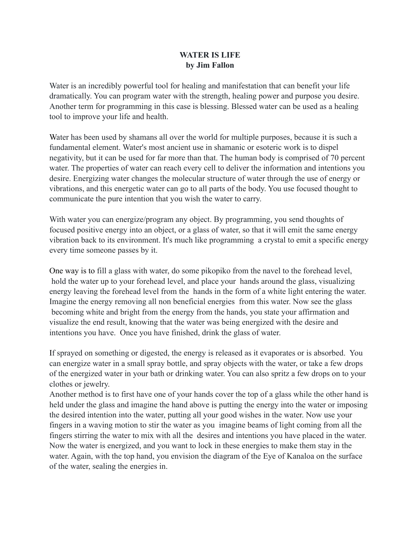## **WATER IS LIFE by Jim Fallon**

Water is an incredibly powerful tool for healing and manifestation that can benefit your life dramatically. You can program water with the strength, healing power and purpose you desire. Another term for programming in this case is blessing. Blessed water can be used as a healing tool to improve your life and health.

Water has been used by shamans all over the world for multiple purposes, because it is such a fundamental element. Water's most ancient use in shamanic or esoteric work is to dispel negativity, but it can be used for far more than that. The human body is comprised of 70 percent water. The properties of water can reach every cell to deliver the information and intentions you desire. Energizing water changes the molecular structure of water through the use of energy or vibrations, and this energetic water can go to all parts of the body. You use focused thought to communicate the pure intention that you wish the water to carry.

With water you can energize/program any object. By programming, you send thoughts of focused positive energy into an object, or a glass of water, so that it will emit the same energy vibration back to its environment. It's much like programming a crystal to emit a specific energy every time someone passes by it.

One way is to fill a glass with water, do some pikopiko from the navel to the forehead level, hold the water up to your forehead level, and place your hands around the glass, visualizing energy leaving the forehead level from the hands in the form of a white light entering the water. Imagine the energy removing all non beneficial energies from this water. Now see the glass becoming white and bright from the energy from the hands, you state your affirmation and visualize the end result, knowing that the water was being energized with the desire and intentions you have. Once you have finished, drink the glass of water.

If sprayed on something or digested, the energy is released as it evaporates or is absorbed. You can energize water in a small spray bottle, and spray objects with the water, or take a few drops of the energized water in your bath or drinking water. You can also spritz a few drops on to your clothes or jewelry.

Another method is to first have one of your hands cover the top of a glass while the other hand is held under the glass and imagine the hand above is putting the energy into the water or imposing the desired intention into the water, putting all your good wishes in the water. Now use your fingers in a waving motion to stir the water as you imagine beams of light coming from all the fingers stirring the water to mix with all the desires and intentions you have placed in the water. Now the water is energized, and you want to lock in these energies to make them stay in the water. Again, with the top hand, you envision the diagram of the Eye of Kanaloa on the surface of the water, sealing the energies in.